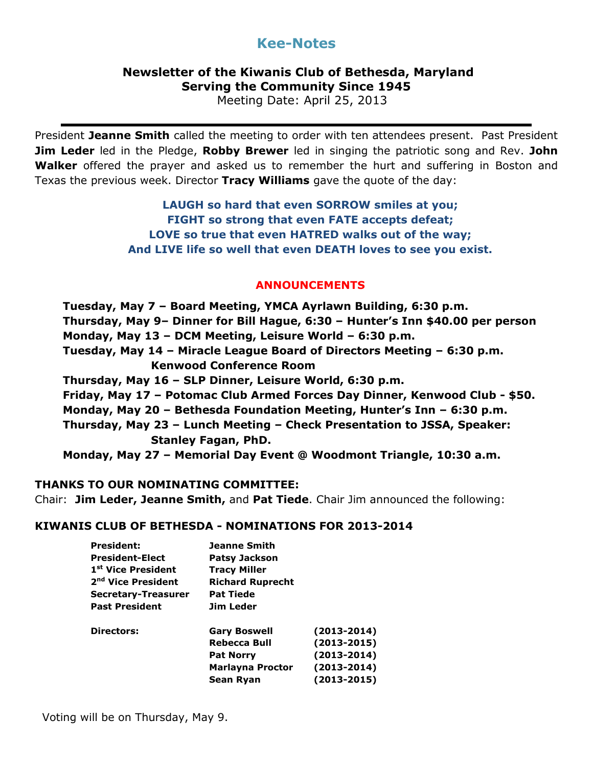# **Kee-Notes**

## **Newsletter of the Kiwanis Club of Bethesda, Maryland Serving the Community Since 1945**

Meeting Date: April 25, 2013

President **Jeanne Smith** called the meeting to order with ten attendees present. Past President **Jim Leder** led in the Pledge, **Robby Brewer** led in singing the patriotic song and Rev. **John Walker** offered the prayer and asked us to remember the hurt and suffering in Boston and Texas the previous week. Director **Tracy Williams** gave the quote of the day:

> **LAUGH so hard that even SORROW smiles at you; FIGHT so strong that even FATE accepts defeat; LOVE so true that even HATRED walks out of the way; And LIVE life so well that even DEATH loves to see you exist.**

### **ANNOUNCEMENTS**

**Tuesday, May 7 – Board Meeting, YMCA Ayrlawn Building, 6:30 p.m. Thursday, May 9– Dinner for Bill Hague, 6:30 – Hunter's Inn \$40.00 per person Monday, May 13 – DCM Meeting, Leisure World – 6:30 p.m. Tuesday, May 14 – Miracle League Board of Directors Meeting – 6:30 p.m. Kenwood Conference Room Thursday, May 16 – SLP Dinner, Leisure World, 6:30 p.m. Friday, May 17 – Potomac Club Armed Forces Day Dinner, Kenwood Club - \$50. Monday, May 20 – Bethesda Foundation Meeting, Hunter's Inn – 6:30 p.m. Thursday, May 23 – Lunch Meeting – Check Presentation to JSSA, Speaker: Stanley Fagan, PhD. Monday, May 27 – Memorial Day Event @ Woodmont Triangle, 10:30 a.m.**

### **THANKS TO OUR NOMINATING COMMITTEE:**

Chair: **Jim Leder, Jeanne Smith,** and **Pat Tiede**. Chair Jim announced the following:

#### **KIWANIS CLUB OF BETHESDA - NOMINATIONS FOR 2013-2014**

| <b>President:</b>              | Jeanne Smith            |                 |
|--------------------------------|-------------------------|-----------------|
| <b>President-Elect</b>         | <b>Patsy Jackson</b>    |                 |
| 1 <sup>st</sup> Vice President | <b>Tracy Miller</b>     |                 |
| 2 <sup>nd</sup> Vice President | <b>Richard Ruprecht</b> |                 |
| Secretary-Treasurer            | <b>Pat Tiede</b>        |                 |
| <b>Past President</b>          | Jim Leder               |                 |
| Directors:                     | <b>Gary Boswell</b>     | $(2013 - 2014)$ |
|                                | Rebecca Bull            | $(2013 - 2015)$ |
|                                | <b>Pat Norry</b>        | $(2013 - 2014)$ |
|                                | Marlayna Proctor        | $(2013 - 2014)$ |
|                                | Sean Ryan               | $(2013 - 2015)$ |
|                                |                         |                 |

Voting will be on Thursday, May 9.